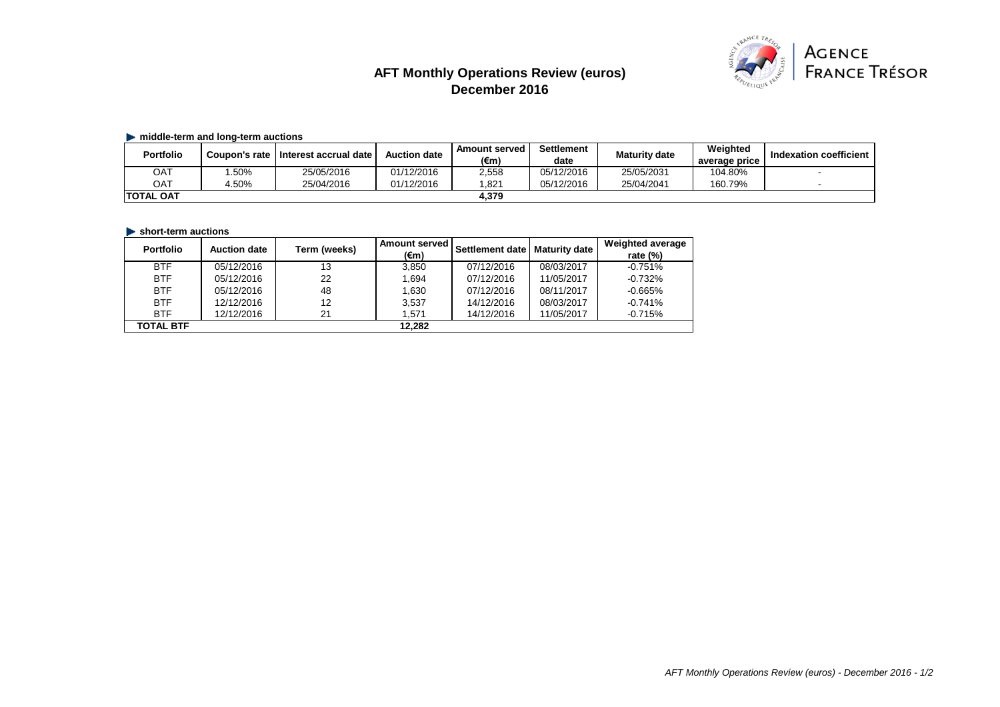# **AFT Monthly Operations Review (euros) December 2016**



## **middle-term and long-term auctions**

| <b>Portfolio</b> | Coupon's rate | I Interest accrual date | <b>Auction date</b> | <b>Amount served</b><br>(€m) | Settlement<br>date | <b>Maturity date</b> | Weighted<br>average price | <b>Indexation coefficient</b> |
|------------------|---------------|-------------------------|---------------------|------------------------------|--------------------|----------------------|---------------------------|-------------------------------|
| ОАТ              | .50%          | 25/05/2016              | 01/12/2016          | 2,558                        | 05/12/2016         | 25/05/2031           | 104.80%                   |                               |
| ОАТ              | 4.50%         | 25/04/2016              | 01/12/2016          | .821                         | 05/12/2016         | 25/04/2041           | 160.79%                   |                               |
| <b>TOTAL OAT</b> |               |                         |                     | 4.379                        |                    |                      |                           |                               |

# **In short-term auctions**

| <b>Portfolio</b> | <b>Auction date</b> | Term (weeks) | <b>Amount served</b><br>$(\epsilon m)$ | Settlement date   Maturity date |            | <b>Weighted average</b><br>rate $(%)$ |
|------------------|---------------------|--------------|----------------------------------------|---------------------------------|------------|---------------------------------------|
| <b>BTF</b>       | 05/12/2016          | 13           | 3,850                                  | 07/12/2016                      | 08/03/2017 | $-0.751%$                             |
| <b>BTF</b>       | 05/12/2016          | 22           | 1,694                                  | 07/12/2016                      | 11/05/2017 | $-0.732%$                             |
| <b>BTF</b>       | 05/12/2016          | 48           | 1,630                                  | 07/12/2016                      | 08/11/2017 | $-0.665%$                             |
| <b>BTF</b>       | 12/12/2016          | 12           | 3,537                                  | 14/12/2016                      | 08/03/2017 | $-0.741%$                             |
| <b>BTF</b>       | 12/12/2016          | 21           | 1,571                                  | 14/12/2016                      | 11/05/2017 | $-0.715%$                             |
| <b>TOTAL BTF</b> |                     |              | 12,282                                 |                                 |            |                                       |